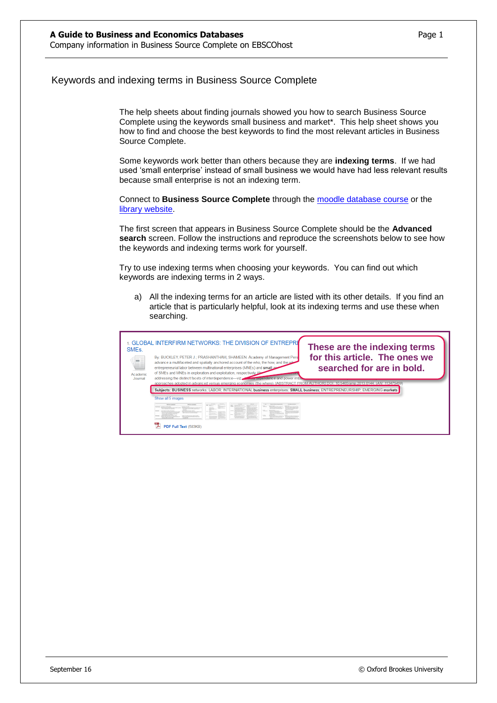## Keywords and indexing terms in Business Source Complete

The help sheets about finding journals showed you how to search Business Source Complete using the keywords small business and market\*. This help sheet shows you how to find and choose the best keywords to find the most relevant articles in Business Source Complete.

Some keywords work better than others because they are **indexing terms**. If we had used 'small enterprise' instead of small business we would have had less relevant results because small enterprise is not an indexing term.

Connect to **Business Source Complete** through the [moodle database course](https://moodle.brookes.ac.uk/course/view.php?id=19192) or the [library website.](http://www.brookes.ac.uk/Library/Subject-help/Business--Marketing-and-Economics/)

The first screen that appears in Business Source Complete should be the **Advanced search** screen. Follow the instructions and reproduce the screenshots below to see how the keywords and indexing terms work for yourself.

Try to use indexing terms when choosing your keywords. You can find out which keywords are indexing terms in 2 ways.

a) All the indexing terms for an article are listed with its other details. If you find an article that is particularly helpful, look at its indexing terms and use these when searching.

| SME <sub>s</sub> .<br>Academic<br>Journal | 1. GLOBAL INTERFIRM NETWORKS: THE DIVISION OF ENTREPRE<br>These are the indexing terms<br>for this article. The ones we<br>By: BUCKLEY, PETER J.; PRASHANTHAM, SHAMEEN. Academy of Management Pers<br>advance a multifaceted and spatially anchored account of the who, the how, and the wa-<br>searched for are in bold.<br>entrepreneurial labor between multinational enterprises (MNEs) and small are<br>of SMEs and MNEs in exploration and exploitation, respectively (the<br>addressing the distinct facets of interdependence—viz extending rependence and power imba |
|-------------------------------------------|-------------------------------------------------------------------------------------------------------------------------------------------------------------------------------------------------------------------------------------------------------------------------------------------------------------------------------------------------------------------------------------------------------------------------------------------------------------------------------------------------------------------------------------------------------------------------------|
|                                           | approaches adopted in advanced versus emerging economies (the where). [ABSTRACT FROM AUTHOR] DOI: 10.5465/amp.2013.0144. (AN: 113475459)<br>Subjects: BUSINESS networks: LABOR: INTERNATIONAL business enterprises: SMALL business: ENTREPRENEURSHIP: EMERGING markets<br>Show all 5 images<br><b>Miller Address</b><br>to the first product of the<br>PDF Full Text (583KB)                                                                                                                                                                                                  |